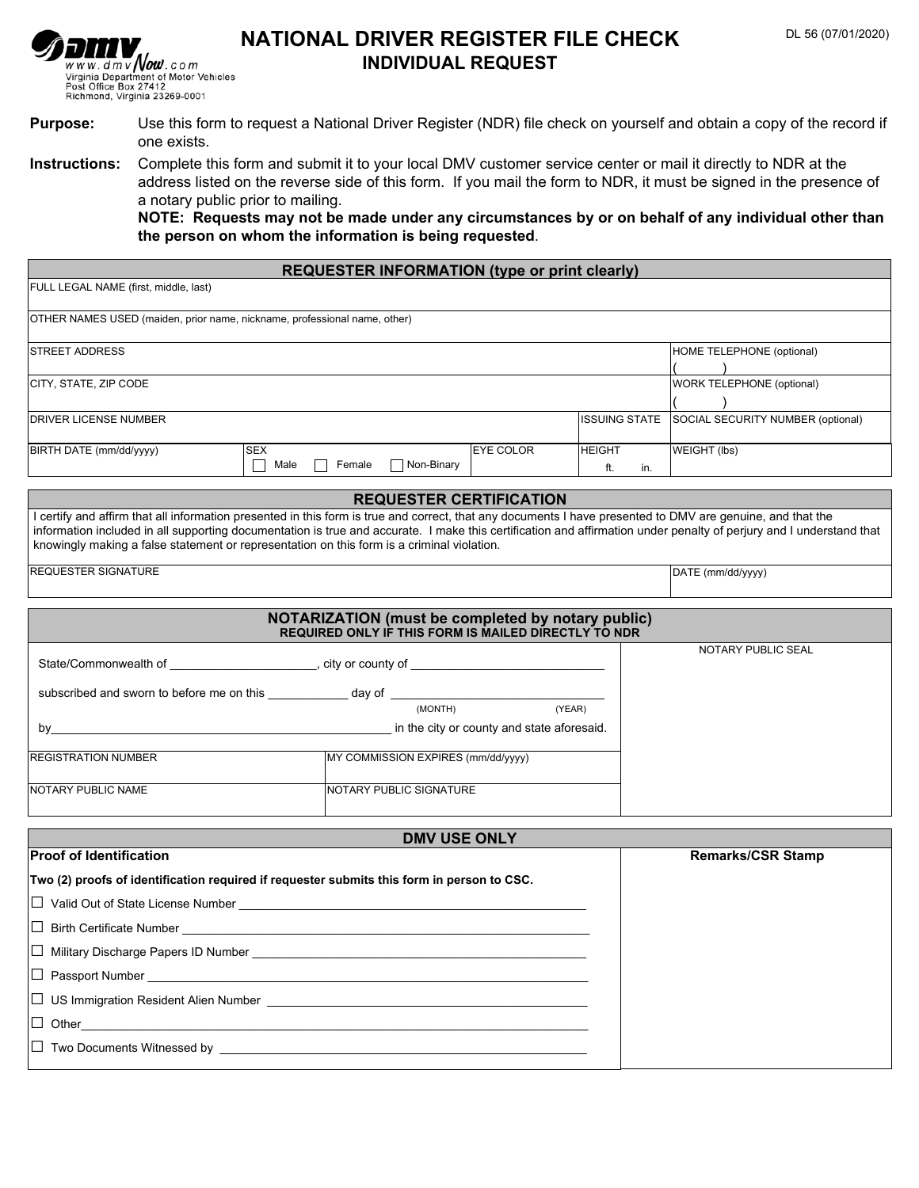

# **NATIONAL DRIVER REGISTER FILE CHECK INDIVIDUAL REQUEST**

- **Purpose:** Use this form to request a National Driver Register (NDR) file check on yourself and obtain a copy of the record if one exists.
- **Instructions:** Complete this form and submit it to your local DMV customer service center or mail it directly to NDR at the address listed on the reverse side of this form. If you mail the form to NDR, it must be signed in the presence of a notary public prior to mailing.

**NOTE: Requests may not be made under any circumstances by or on behalf of any individual other than the person on whom the information is being requested**.

| <b>REQUESTER INFORMATION (type or print clearly)</b>                                                                                                                                                                                                                                                                                                                                                                            |                                    |                  |                                              |                                   |
|---------------------------------------------------------------------------------------------------------------------------------------------------------------------------------------------------------------------------------------------------------------------------------------------------------------------------------------------------------------------------------------------------------------------------------|------------------------------------|------------------|----------------------------------------------|-----------------------------------|
| FULL LEGAL NAME (first, middle, last)                                                                                                                                                                                                                                                                                                                                                                                           |                                    |                  |                                              |                                   |
| OTHER NAMES USED (maiden, prior name, nickname, professional name, other)                                                                                                                                                                                                                                                                                                                                                       |                                    |                  |                                              |                                   |
| STREET ADDRESS                                                                                                                                                                                                                                                                                                                                                                                                                  |                                    |                  |                                              | HOME TELEPHONE (optional)         |
| CITY, STATE, ZIP CODE                                                                                                                                                                                                                                                                                                                                                                                                           |                                    |                  |                                              | <b>WORK TELEPHONE (optional)</b>  |
| <b>DRIVER LICENSE NUMBER</b>                                                                                                                                                                                                                                                                                                                                                                                                    |                                    |                  | <b>ISSUING STATE</b><br>$\blacktriangledown$ | SOCIAL SECURITY NUMBER (optional) |
| BIRTH DATE (mm/dd/yyyy)<br><b>SEX</b><br>Male                                                                                                                                                                                                                                                                                                                                                                                   | Female<br>Non-Binary               | <b>EYE COLOR</b> | <b>HEIGHT</b><br>ft.<br>in.                  | WEIGHT (lbs)                      |
| <b>REQUESTER CERTIFICATION</b>                                                                                                                                                                                                                                                                                                                                                                                                  |                                    |                  |                                              |                                   |
| I certify and affirm that all information presented in this form is true and correct, that any documents I have presented to DMV are genuine, and that the<br>information included in all supporting documentation is true and accurate. I make this certification and affirmation under penalty of perjury and I understand that<br>knowingly making a false statement or representation on this form is a criminal violation. |                                    |                  |                                              |                                   |
| <b>REQUESTER SIGNATURE</b>                                                                                                                                                                                                                                                                                                                                                                                                      |                                    |                  |                                              | DATE (mm/dd/yyyy)                 |
| NOTARIZATION (must be completed by notary public)                                                                                                                                                                                                                                                                                                                                                                               |                                    |                  |                                              |                                   |
| REQUIRED ONLY IF THIS FORM IS MAILED DIRECTLY TO NDR<br>NOTARY PUBLIC SEAL                                                                                                                                                                                                                                                                                                                                                      |                                    |                  |                                              |                                   |
|                                                                                                                                                                                                                                                                                                                                                                                                                                 |                                    |                  |                                              |                                   |
| subscribed and sworn to before me on this ______________ day of _________________                                                                                                                                                                                                                                                                                                                                               |                                    |                  |                                              |                                   |
| (YEAR)<br>(MONTH)                                                                                                                                                                                                                                                                                                                                                                                                               |                                    |                  |                                              |                                   |
|                                                                                                                                                                                                                                                                                                                                                                                                                                 |                                    |                  |                                              |                                   |
| <b>REGISTRATION NUMBER</b>                                                                                                                                                                                                                                                                                                                                                                                                      | MY COMMISSION EXPIRES (mm/dd/yyyy) |                  |                                              |                                   |
| NOTARY PUBLIC NAME                                                                                                                                                                                                                                                                                                                                                                                                              | NOTARY PUBLIC SIGNATURE            |                  |                                              |                                   |
| <b>DMV USE ONLY</b>                                                                                                                                                                                                                                                                                                                                                                                                             |                                    |                  |                                              |                                   |
| <b>Proof of Identification</b>                                                                                                                                                                                                                                                                                                                                                                                                  |                                    |                  |                                              | <b>Remarks/CSR Stamp</b>          |
| Two (2) proofs of identification required if requester submits this form in person to CSC.                                                                                                                                                                                                                                                                                                                                      |                                    |                  |                                              |                                   |
| $\Box$ Valid Out of State License Number                                                                                                                                                                                                                                                                                                                                                                                        |                                    |                  |                                              |                                   |
| $\Box$ Birth Certificate Number                                                                                                                                                                                                                                                                                                                                                                                                 |                                    |                  |                                              |                                   |
|                                                                                                                                                                                                                                                                                                                                                                                                                                 |                                    |                  |                                              |                                   |
|                                                                                                                                                                                                                                                                                                                                                                                                                                 |                                    |                  |                                              |                                   |
|                                                                                                                                                                                                                                                                                                                                                                                                                                 |                                    |                  |                                              |                                   |
| $\Box$ Other                                                                                                                                                                                                                                                                                                                                                                                                                    |                                    |                  |                                              |                                   |
|                                                                                                                                                                                                                                                                                                                                                                                                                                 |                                    |                  |                                              |                                   |